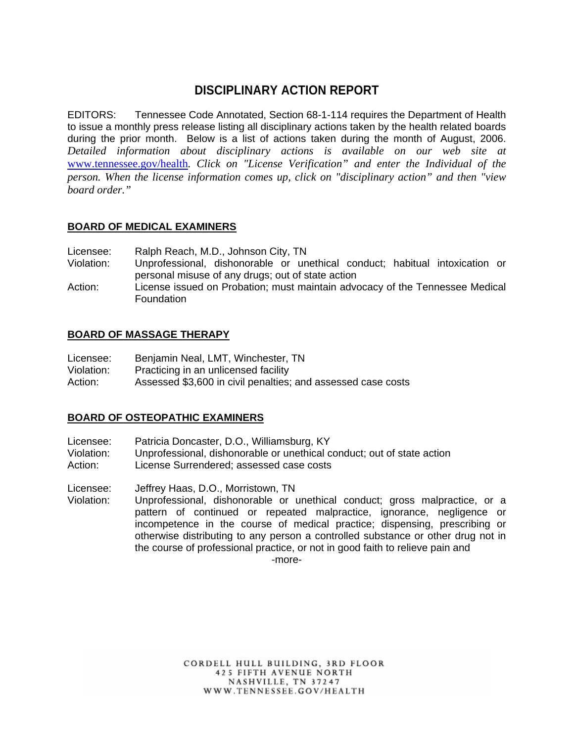# **DISCIPLINARY ACTION REPORT**

EDITORS: Tennessee Code Annotated, Section 68-1-114 requires the Department of Health to issue a monthly press release listing all disciplinary actions taken by the health related boards during the prior month. Below is a list of actions taken during the month of August, 2006. *Detailed information about disciplinary actions is available on our web site at*  www.tennessee.gov/health*. Click on "License Verification" and enter the Individual of the person. When the license information comes up, click on "disciplinary action" and then "view board order."* 

## **BOARD OF MEDICAL EXAMINERS**

Licensee: Ralph Reach, M.D., Johnson City, TN

- Violation: Unprofessional, dishonorable or unethical conduct; habitual intoxication or personal misuse of any drugs; out of state action
- Action: License issued on Probation; must maintain advocacy of the Tennessee Medical Foundation

#### **BOARD OF MASSAGE THERAPY**

| Licensee:  | Benjamin Neal, LMT, Winchester, TN                           |
|------------|--------------------------------------------------------------|
| Violation: | Practicing in an unlicensed facility                         |
| Action:    | Assessed \$3,600 in civil penalties; and assessed case costs |

#### **BOARD OF OSTEOPATHIC EXAMINERS**

- Licensee: Patricia Doncaster, D.O., Williamsburg, KY
- Violation: Unprofessional, dishonorable or unethical conduct; out of state action
- Action: License Surrendered; assessed case costs

Licensee: Jeffrey Haas, D.O., Morristown, TN

Violation: Unprofessional, dishonorable or unethical conduct; gross malpractice, or a pattern of continued or repeated malpractice, ignorance, negligence or incompetence in the course of medical practice; dispensing, prescribing or otherwise distributing to any person a controlled substance or other drug not in the course of professional practice, or not in good faith to relieve pain and

-more-

CORDELL HULL BUILDING, 3RD FLOOR **425 FIFTH AVENUE NORTH** NASHVILLE, TN 37247 WWW.TENNESSEE.GOV/HEALTH